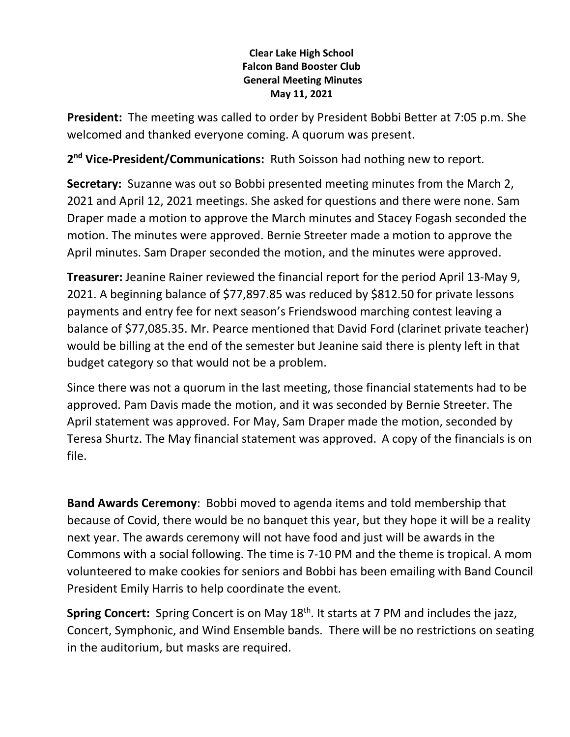## **Clear Lake High School Falcon Band Booster Club General Meeting Minutes May 11, 2021**

**President:** The meeting was called to order by President Bobbi Better at 7:05 p.m. She welcomed and thanked everyone coming. A quorum was present.

**2 nd Vice-President/Communications:** Ruth Soisson had nothing new to report.

**Secretary:** Suzanne was out so Bobbi presented meeting minutes from the March 2, 2021 and April 12, 2021 meetings. She asked for questions and there were none. Sam Draper made a motion to approve the March minutes and Stacey Fogash seconded the motion. The minutes were approved. Bernie Streeter made a motion to approve the April minutes. Sam Draper seconded the motion, and the minutes were approved.

**Treasurer:** Jeanine Rainer reviewed the financial report for the period April 13-May 9, 2021. A beginning balance of \$77,897.85 was reduced by \$812.50 for private lessons payments and entry fee for next season's Friendswood marching contest leaving a balance of \$77,085.35. Mr. Pearce mentioned that David Ford (clarinet private teacher) would be billing at the end of the semester but Jeanine said there is plenty left in that budget category so that would not be a problem.

Since there was not a quorum in the last meeting, those financial statements had to be approved. Pam Davis made the motion, and it was seconded by Bernie Streeter. The April statement was approved. For May, Sam Draper made the motion, seconded by Teresa Shurtz. The May financial statement was approved.A copy of the financials is on file.

**Band Awards Ceremony**: Bobbi moved to agenda items and told membership that because of Covid, there would be no banquet this year, but they hope it will be a reality next year. The awards ceremony will not have food and just will be awards in the Commons with a social following. The time is 7-10 PM and the theme is tropical. A mom volunteered to make cookies for seniors and Bobbi has been emailing with Band Council President Emily Harris to help coordinate the event.

**Spring Concert:** Spring Concert is on May 18<sup>th</sup>. It starts at 7 PM and includes the jazz, Concert, Symphonic, and Wind Ensemble bands. There will be no restrictions on seating in the auditorium, but masks are required.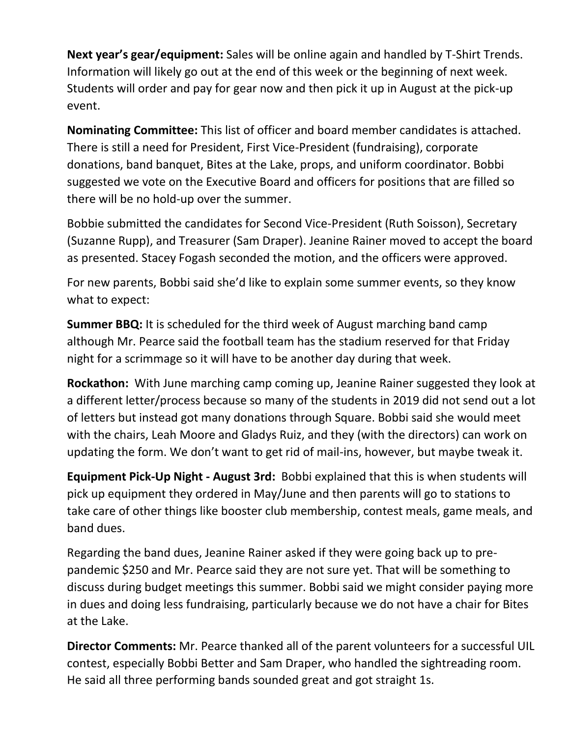**Next year's gear/equipment:** Sales will be online again and handled by T-Shirt Trends. Information will likely go out at the end of this week or the beginning of next week. Students will order and pay for gear now and then pick it up in August at the pick-up event.

**Nominating Committee:** This list of officer and board member candidates is attached. There is still a need for President, First Vice-President (fundraising), corporate donations, band banquet, Bites at the Lake, props, and uniform coordinator. Bobbi suggested we vote on the Executive Board and officers for positions that are filled so there will be no hold-up over the summer.

Bobbie submitted the candidates for Second Vice-President (Ruth Soisson), Secretary (Suzanne Rupp), and Treasurer (Sam Draper). Jeanine Rainer moved to accept the board as presented. Stacey Fogash seconded the motion, and the officers were approved.

For new parents, Bobbi said she'd like to explain some summer events, so they know what to expect:

**Summer BBQ:** It is scheduled for the third week of August marching band camp although Mr. Pearce said the football team has the stadium reserved for that Friday night for a scrimmage so it will have to be another day during that week.

**Rockathon:** With June marching camp coming up, Jeanine Rainer suggested they look at a different letter/process because so many of the students in 2019 did not send out a lot of letters but instead got many donations through Square. Bobbi said she would meet with the chairs, Leah Moore and Gladys Ruiz, and they (with the directors) can work on updating the form. We don't want to get rid of mail-ins, however, but maybe tweak it.

**Equipment Pick-Up Night - August 3rd:** Bobbi explained that this is when students will pick up equipment they ordered in May/June and then parents will go to stations to take care of other things like booster club membership, contest meals, game meals, and band dues.

Regarding the band dues, Jeanine Rainer asked if they were going back up to prepandemic \$250 and Mr. Pearce said they are not sure yet. That will be something to discuss during budget meetings this summer. Bobbi said we might consider paying more in dues and doing less fundraising, particularly because we do not have a chair for Bites at the Lake.

**Director Comments:** Mr. Pearce thanked all of the parent volunteers for a successful UIL contest, especially Bobbi Better and Sam Draper, who handled the sightreading room. He said all three performing bands sounded great and got straight 1s.